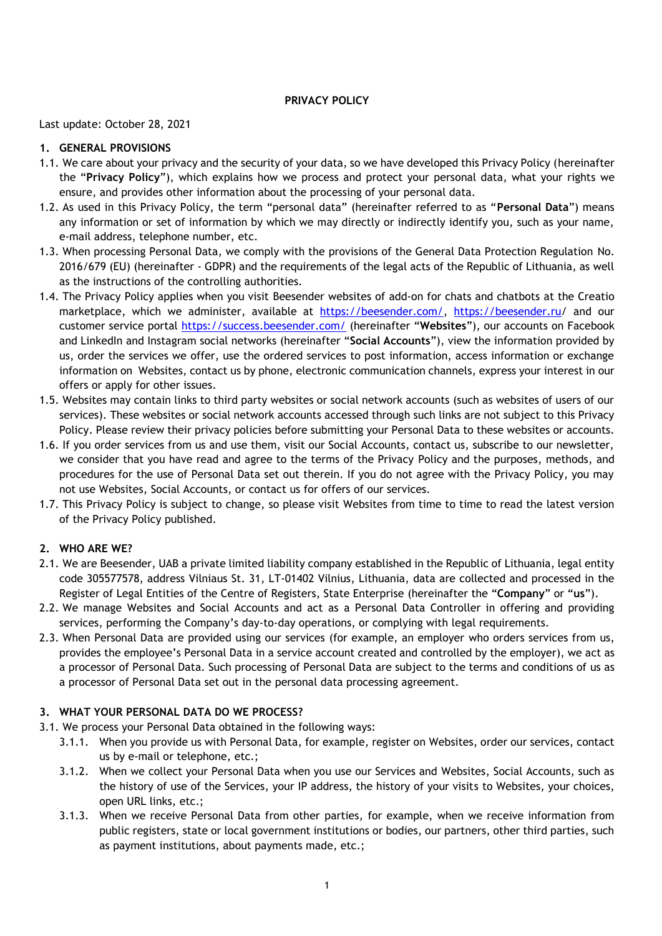## **PRIVACY POLICY**

Last update: October 28, 2021

### **1. GENERAL PROVISIONS**

- 1.1. We care about your privacy and the security of your data, so we have developed this Privacy Policy (hereinafter the "**Privacy Policy**"), which explains how we process and protect your personal data, what your rights we ensure, and provides other information about the processing of your personal data.
- 1.2. As used in this Privacy Policy, the term "personal data" (hereinafter referred to as "**Personal Data**") means any information or set of information by which we may directly or indirectly identify you, such as your name, e-mail address, telephone number, etc.
- 1.3. When processing Personal Data, we comply with the provisions of the General Data Protection Regulation No. 2016/679 (EU) (hereinafter - GDPR) and the requirements of the legal acts of the Republic of Lithuania, as well as the instructions of the controlling authorities.
- 1.4. The Privacy Policy applies when you visit Beesender websites of add-on for chats and chatbots at the Creatio marketplace, which we administer, available at [https://beesender.com/,](https://beesender.com/) <https://beesender.ru/> and our customer service portal<https://success.beesender.com/> (hereinafter "**Websites**"), our accounts on Facebook and LinkedIn and Instagram social networks (hereinafter "**Social Accounts**"), view the information provided by us, order the services we offer, use the ordered services to post information, access information or exchange information on Websites, contact us by phone, electronic communication channels, express your interest in our offers or apply for other issues.
- 1.5. Websites may contain links to third party websites or social network accounts (such as websites of users of our services). These websites or social network accounts accessed through such links are not subject to this Privacy Policy. Please review their privacy policies before submitting your Personal Data to these websites or accounts.
- 1.6. If you order services from us and use them, visit our Social Accounts, contact us, subscribe to our newsletter, we consider that you have read and agree to the terms of the Privacy Policy and the purposes, methods, and procedures for the use of Personal Data set out therein. If you do not agree with the Privacy Policy, you may not use Websites, Social Accounts, or contact us for offers of our services.
- 1.7. This Privacy Policy is subject to change, so please visit Websites from time to time to read the latest version of the Privacy Policy published.

# **2. WHO ARE WE?**

- 2.1. We are Beesender, UAB a private limited liability company established in the Republic of Lithuania, legal entity code 305577578, address Vilniaus St. 31, LT-01402 Vilnius, Lithuania, data are collected and processed in the Register of Legal Entities of the Centre of Registers, State Enterprise (hereinafter the "**Company**" or "**us**").
- 2.2. We manage Websites and Social Accounts and act as a Personal Data Controller in offering and providing services, performing the Company's day-to-day operations, or complying with legal requirements.
- 2.3. When Personal Data are provided using our services (for example, an employer who orders services from us, provides the employee's Personal Data in a service account created and controlled by the employer), we act as a processor of Personal Data. Such processing of Personal Data are subject to the terms and conditions of us as a processor of Personal Data set out in the personal data processing agreement.

#### **3. WHAT YOUR PERSONAL DATA DO WE PROCESS?**

- 3.1. We process your Personal Data obtained in the following ways:
	- 3.1.1. When you provide us with Personal Data, for example, register on Websites, order our services, contact us by e-mail or telephone, etc.;
	- 3.1.2. When we collect your Personal Data when you use our Services and Websites, Social Accounts, such as the history of use of the Services, your IP address, the history of your visits to Websites, your choices, open URL links, etc.;
	- 3.1.3. When we receive Personal Data from other parties, for example, when we receive information from public registers, state or local government institutions or bodies, our partners, other third parties, such as payment institutions, about payments made, etc.;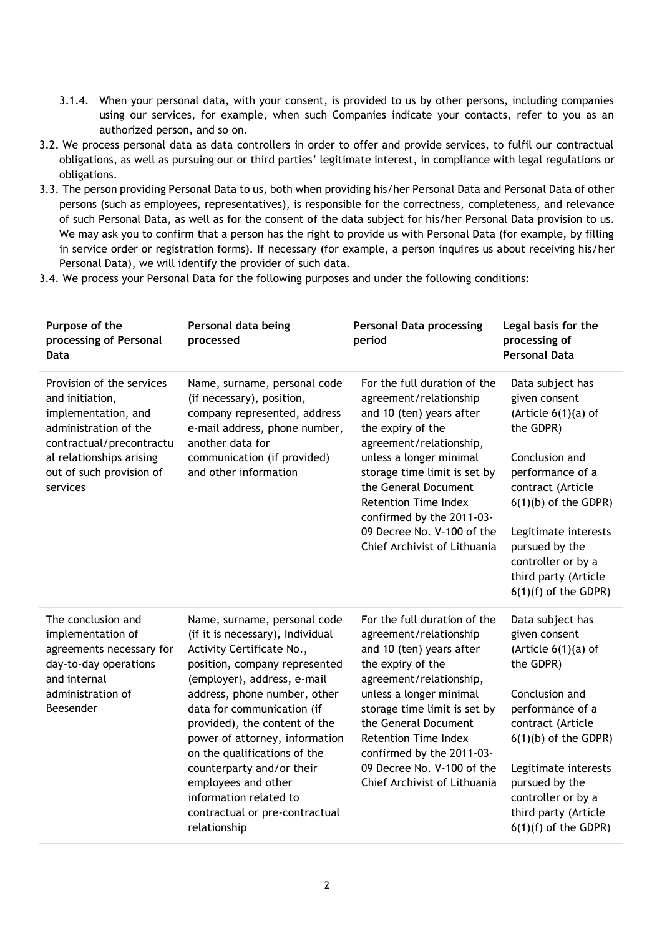- 3.1.4. When your personal data, with your consent, is provided to us by other persons, including companies using our services, for example, when such Companies indicate your contacts, refer to you as an authorized person, and so on.
- 3.2. We process personal data as data controllers in order to offer and provide services, to fulfil our contractual obligations, as well as pursuing our or third parties' legitimate interest, in compliance with legal regulations or obligations.
- 3.3. The person providing Personal Data to us, both when providing his/her Personal Data and Personal Data of other persons (such as employees, representatives), is responsible for the correctness, completeness, and relevance of such Personal Data, as well as for the consent of the data subject for his/her Personal Data provision to us. We may ask you to confirm that a person has the right to provide us with Personal Data (for example, by filling in service order or registration forms). If necessary (for example, a person inquires us about receiving his/her Personal Data), we will identify the provider of such data.
- 3.4. We process your Personal Data for the following purposes and under the following conditions:

| Purpose of the<br>processing of Personal<br>Data                                                                                                                                             | Personal data being<br>processed                                                                                                                                                                                                                                                                                                                                                                                                                               | <b>Personal Data processing</b><br>period                                                                                                                                                                                                                                                                                                       | Legal basis for the<br>processing of<br><b>Personal Data</b>                                                                                                                                                                                                                   |
|----------------------------------------------------------------------------------------------------------------------------------------------------------------------------------------------|----------------------------------------------------------------------------------------------------------------------------------------------------------------------------------------------------------------------------------------------------------------------------------------------------------------------------------------------------------------------------------------------------------------------------------------------------------------|-------------------------------------------------------------------------------------------------------------------------------------------------------------------------------------------------------------------------------------------------------------------------------------------------------------------------------------------------|--------------------------------------------------------------------------------------------------------------------------------------------------------------------------------------------------------------------------------------------------------------------------------|
| Provision of the services<br>and initiation,<br>implementation, and<br>administration of the<br>contractual/precontractu<br>al relationships arising<br>out of such provision of<br>services | Name, surname, personal code<br>(if necessary), position,<br>company represented, address<br>e-mail address, phone number,<br>another data for<br>communication (if provided)<br>and other information                                                                                                                                                                                                                                                         | For the full duration of the<br>agreement/relationship<br>and 10 (ten) years after<br>the expiry of the<br>agreement/relationship,<br>unless a longer minimal<br>storage time limit is set by<br>the General Document<br><b>Retention Time Index</b><br>confirmed by the 2011-03-<br>09 Decree No. V-100 of the<br>Chief Archivist of Lithuania | Data subject has<br>given consent<br>(Article $6(1)(a)$ of<br>the GDPR)<br>Conclusion and<br>performance of a<br>contract (Article<br>$6(1)(b)$ of the GDPR)<br>Legitimate interests<br>pursued by the<br>controller or by a<br>third party (Article<br>$6(1)(f)$ of the GDPR) |
| The conclusion and<br>implementation of<br>agreements necessary for<br>day-to-day operations<br>and internal<br>administration of<br>Beesender                                               | Name, surname, personal code<br>(if it is necessary), Individual<br>Activity Certificate No.,<br>position, company represented<br>(employer), address, e-mail<br>address, phone number, other<br>data for communication (if<br>provided), the content of the<br>power of attorney, information<br>on the qualifications of the<br>counterparty and/or their<br>employees and other<br>information related to<br>contractual or pre-contractual<br>relationship | For the full duration of the<br>agreement/relationship<br>and 10 (ten) years after<br>the expiry of the<br>agreement/relationship,<br>unless a longer minimal<br>storage time limit is set by<br>the General Document<br><b>Retention Time Index</b><br>confirmed by the 2011-03-<br>09 Decree No. V-100 of the<br>Chief Archivist of Lithuania | Data subject has<br>given consent<br>(Article $6(1)(a)$ of<br>the GDPR)<br>Conclusion and<br>performance of a<br>contract (Article<br>$6(1)(b)$ of the GDPR)<br>Legitimate interests<br>pursued by the<br>controller or by a<br>third party (Article<br>$6(1)(f)$ of the GDPR) |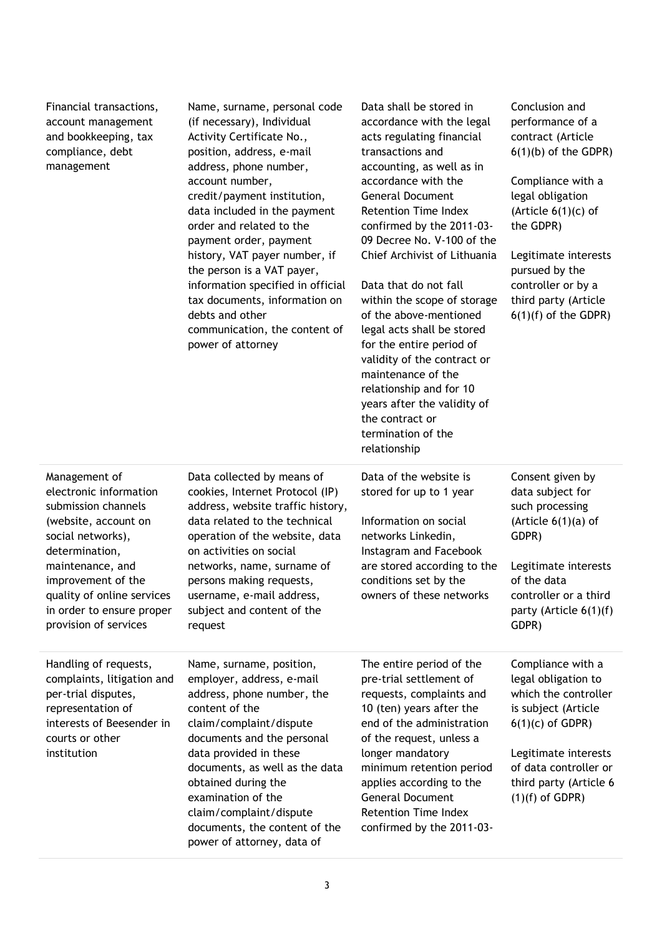| Financial transactions,<br>account management<br>and bookkeeping, tax<br>compliance, debt<br>management                                                                                                                                                     | Name, surname, personal code<br>(if necessary), Individual<br>Activity Certificate No.,<br>position, address, e-mail<br>address, phone number,<br>account number,<br>credit/payment institution,<br>data included in the payment<br>order and related to the<br>payment order, payment<br>history, VAT payer number, if<br>the person is a VAT payer,<br>information specified in official<br>tax documents, information on<br>debts and other<br>communication, the content of<br>power of attorney | Data shall be stored in<br>accordance with the legal<br>acts regulating financial<br>transactions and<br>accounting, as well as in<br>accordance with the<br><b>General Document</b><br><b>Retention Time Index</b><br>confirmed by the 2011-03-<br>09 Decree No. V-100 of the<br>Chief Archivist of Lithuania<br>Data that do not fall<br>within the scope of storage<br>of the above-mentioned<br>legal acts shall be stored<br>for the entire period of<br>validity of the contract or<br>maintenance of the<br>relationship and for 10<br>years after the validity of<br>the contract or<br>termination of the<br>relationship | Conclusion and<br>performance of a<br>contract (Article<br>$6(1)(b)$ of the GDPR)<br>Compliance with a<br>legal obligation<br>(Article $6(1)(c)$ of<br>the GDPR)<br>Legitimate interests<br>pursued by the<br>controller or by a<br>third party (Article<br>$6(1)(f)$ of the GDPR) |
|-------------------------------------------------------------------------------------------------------------------------------------------------------------------------------------------------------------------------------------------------------------|------------------------------------------------------------------------------------------------------------------------------------------------------------------------------------------------------------------------------------------------------------------------------------------------------------------------------------------------------------------------------------------------------------------------------------------------------------------------------------------------------|------------------------------------------------------------------------------------------------------------------------------------------------------------------------------------------------------------------------------------------------------------------------------------------------------------------------------------------------------------------------------------------------------------------------------------------------------------------------------------------------------------------------------------------------------------------------------------------------------------------------------------|------------------------------------------------------------------------------------------------------------------------------------------------------------------------------------------------------------------------------------------------------------------------------------|
| Management of<br>electronic information<br>submission channels<br>(website, account on<br>social networks),<br>determination,<br>maintenance, and<br>improvement of the<br>quality of online services<br>in order to ensure proper<br>provision of services | Data collected by means of<br>cookies, Internet Protocol (IP)<br>address, website traffic history,<br>data related to the technical<br>operation of the website, data<br>on activities on social<br>networks, name, surname of<br>persons making requests,<br>username, e-mail address,<br>subject and content of the<br>request                                                                                                                                                                     | Data of the website is<br>stored for up to 1 year<br>Information on social<br>networks Linkedin,<br>Instagram and Facebook<br>are stored according to the<br>conditions set by the<br>owners of these networks                                                                                                                                                                                                                                                                                                                                                                                                                     | Consent given by<br>data subject for<br>such processing<br>(Article $6(1)(a)$ of<br>GDPR)<br>Legitimate interests<br>of the data<br>controller or a third<br>party (Article 6(1)(f)<br>GDPR)                                                                                       |
| Handling of requests,<br>complaints, litigation and<br>per-trial disputes,<br>representation of<br>interests of Beesender in<br>courts or other<br>institution                                                                                              | Name, surname, position,<br>employer, address, e-mail<br>address, phone number, the<br>content of the<br>claim/complaint/dispute<br>documents and the personal<br>data provided in these<br>documents, as well as the data<br>obtained during the<br>examination of the<br>claim/complaint/dispute<br>documents, the content of the<br>power of attorney, data of                                                                                                                                    | The entire period of the<br>pre-trial settlement of<br>requests, complaints and<br>10 (ten) years after the<br>end of the administration<br>of the request, unless a<br>longer mandatory<br>minimum retention period<br>applies according to the<br><b>General Document</b><br><b>Retention Time Index</b><br>confirmed by the 2011-03-                                                                                                                                                                                                                                                                                            | Compliance with a<br>legal obligation to<br>which the controller<br>is subject (Article<br>$6(1)(c)$ of GDPR)<br>Legitimate interests<br>of data controller or<br>third party (Article 6<br>$(1)(f)$ of GDPR)                                                                      |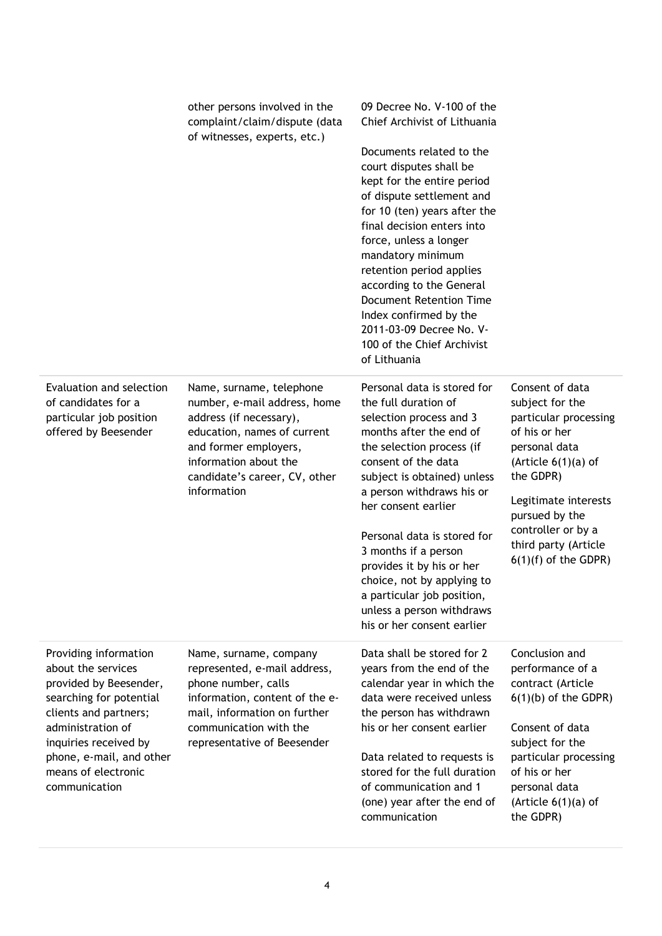|                                                                                                                                                                                                                                             | other persons involved in the<br>complaint/claim/dispute (data<br>of witnesses, experts, etc.)                                                                                                                       | 09 Decree No. V-100 of the<br>Chief Archivist of Lithuania<br>Documents related to the<br>court disputes shall be<br>kept for the entire period<br>of dispute settlement and<br>for 10 (ten) years after the<br>final decision enters into<br>force, unless a longer<br>mandatory minimum<br>retention period applies<br>according to the General<br><b>Document Retention Time</b><br>Index confirmed by the<br>2011-03-09 Decree No. V-<br>100 of the Chief Archivist<br>of Lithuania |                                                                                                                                                                                                                                                       |
|---------------------------------------------------------------------------------------------------------------------------------------------------------------------------------------------------------------------------------------------|----------------------------------------------------------------------------------------------------------------------------------------------------------------------------------------------------------------------|-----------------------------------------------------------------------------------------------------------------------------------------------------------------------------------------------------------------------------------------------------------------------------------------------------------------------------------------------------------------------------------------------------------------------------------------------------------------------------------------|-------------------------------------------------------------------------------------------------------------------------------------------------------------------------------------------------------------------------------------------------------|
| Evaluation and selection<br>of candidates for a<br>particular job position<br>offered by Beesender                                                                                                                                          | Name, surname, telephone<br>number, e-mail address, home<br>address (if necessary),<br>education, names of current<br>and former employers,<br>information about the<br>candidate's career, CV, other<br>information | Personal data is stored for<br>the full duration of<br>selection process and 3<br>months after the end of<br>the selection process (if<br>consent of the data<br>subject is obtained) unless<br>a person withdraws his or<br>her consent earlier<br>Personal data is stored for<br>3 months if a person<br>provides it by his or her<br>choice, not by applying to<br>a particular job position,<br>unless a person withdraws<br>his or her consent earlier                             | Consent of data<br>subject for the<br>particular processing<br>of his or her<br>personal data<br>(Article $6(1)(a)$ of<br>the GDPR)<br>Legitimate interests<br>pursued by the<br>controller or by a<br>third party (Article<br>$6(1)(f)$ of the GDPR) |
| Providing information<br>about the services<br>provided by Beesender,<br>searching for potential<br>clients and partners;<br>administration of<br>inquiries received by<br>phone, e-mail, and other<br>means of electronic<br>communication | Name, surname, company<br>represented, e-mail address,<br>phone number, calls<br>information, content of the e-<br>mail, information on further<br>communication with the<br>representative of Beesender             | Data shall be stored for 2<br>years from the end of the<br>calendar year in which the<br>data were received unless<br>the person has withdrawn<br>his or her consent earlier<br>Data related to requests is<br>stored for the full duration<br>of communication and 1<br>(one) year after the end of<br>communication                                                                                                                                                                   | Conclusion and<br>performance of a<br>contract (Article<br>$6(1)(b)$ of the GDPR)<br>Consent of data<br>subject for the<br>particular processing<br>of his or her<br>personal data<br>(Article $6(1)(a)$ of<br>the GDPR)                              |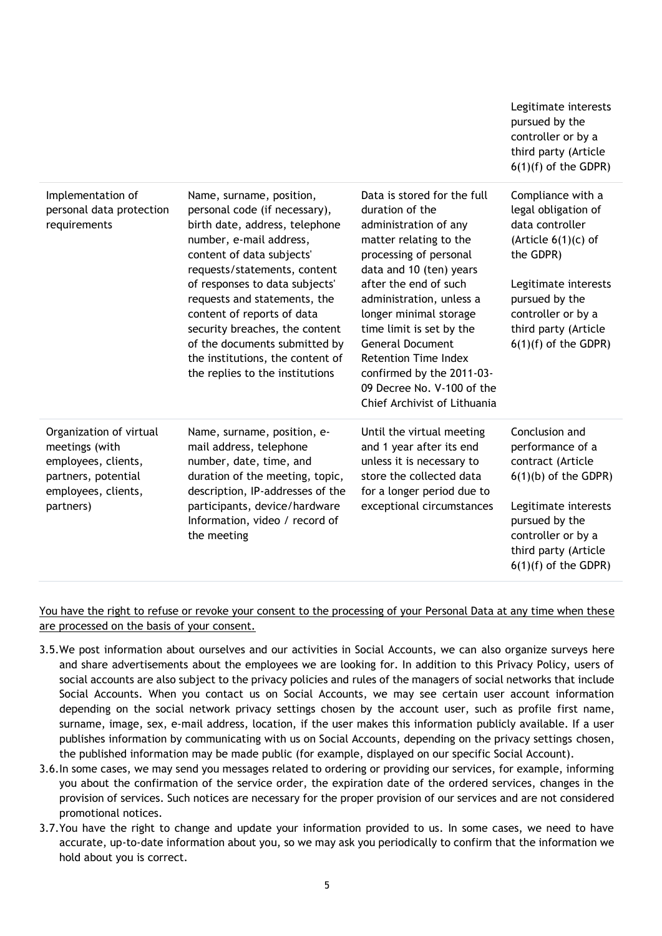|                                                                                                                             |                                                                                                                                                                                                                                                                                                                                                                                                                               |                                                                                                                                                                                                                                                                                                                                                                                                                        | Legitimate interests<br>pursued by the<br>controller or by a<br>third party (Article<br>$6(1)(f)$ of the GDPR)                                                                                                      |
|-----------------------------------------------------------------------------------------------------------------------------|-------------------------------------------------------------------------------------------------------------------------------------------------------------------------------------------------------------------------------------------------------------------------------------------------------------------------------------------------------------------------------------------------------------------------------|------------------------------------------------------------------------------------------------------------------------------------------------------------------------------------------------------------------------------------------------------------------------------------------------------------------------------------------------------------------------------------------------------------------------|---------------------------------------------------------------------------------------------------------------------------------------------------------------------------------------------------------------------|
| Implementation of<br>personal data protection<br>requirements                                                               | Name, surname, position,<br>personal code (if necessary),<br>birth date, address, telephone<br>number, e-mail address,<br>content of data subjects'<br>requests/statements, content<br>of responses to data subjects'<br>requests and statements, the<br>content of reports of data<br>security breaches, the content<br>of the documents submitted by<br>the institutions, the content of<br>the replies to the institutions | Data is stored for the full<br>duration of the<br>administration of any<br>matter relating to the<br>processing of personal<br>data and 10 (ten) years<br>after the end of such<br>administration, unless a<br>longer minimal storage<br>time limit is set by the<br><b>General Document</b><br><b>Retention Time Index</b><br>confirmed by the 2011-03-<br>09 Decree No. V-100 of the<br>Chief Archivist of Lithuania | Compliance with a<br>legal obligation of<br>data controller<br>(Article $6(1)(c)$ of<br>the GDPR)<br>Legitimate interests<br>pursued by the<br>controller or by a<br>third party (Article<br>$6(1)(f)$ of the GDPR) |
| Organization of virtual<br>meetings (with<br>employees, clients,<br>partners, potential<br>employees, clients,<br>partners) | Name, surname, position, e-<br>mail address, telephone<br>number, date, time, and<br>duration of the meeting, topic,<br>description, IP-addresses of the<br>participants, device/hardware<br>Information, video / record of<br>the meeting                                                                                                                                                                                    | Until the virtual meeting<br>and 1 year after its end<br>unless it is necessary to<br>store the collected data<br>for a longer period due to<br>exceptional circumstances                                                                                                                                                                                                                                              | Conclusion and<br>performance of a<br>contract (Article<br>$6(1)(b)$ of the GDPR)<br>Legitimate interests<br>pursued by the<br>controller or by a<br>third party (Article<br>$6(1)(f)$ of the GDPR)                 |

You have the right to refuse or revoke your consent to the processing of your Personal Data at any time when these are processed on the basis of your consent.

- 3.5.We post information about ourselves and our activities in Social Accounts, we can also organize surveys here and share advertisements about the employees we are looking for. In addition to this Privacy Policy, users of social accounts are also subject to the privacy policies and rules of the managers of social networks that include Social Accounts. When you contact us on Social Accounts, we may see certain user account information depending on the social network privacy settings chosen by the account user, such as profile first name, surname, image, sex, e-mail address, location, if the user makes this information publicly available. If a user publishes information by communicating with us on Social Accounts, depending on the privacy settings chosen, the published information may be made public (for example, displayed on our specific Social Account).
- 3.6.In some cases, we may send you messages related to ordering or providing our services, for example, informing you about the confirmation of the service order, the expiration date of the ordered services, changes in the provision of services. Such notices are necessary for the proper provision of our services and are not considered promotional notices.
- 3.7.You have the right to change and update your information provided to us. In some cases, we need to have accurate, up-to-date information about you, so we may ask you periodically to confirm that the information we hold about you is correct.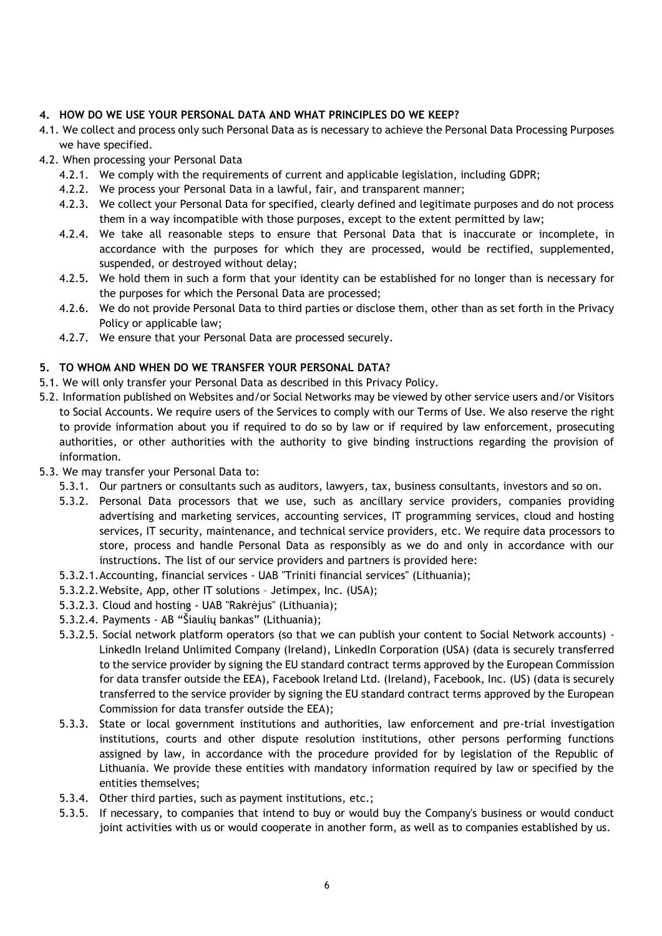# **4. HOW DO WE USE YOUR PERSONAL DATA AND WHAT PRINCIPLES DO WE KEEP?**

- 4.1. We collect and process only such Personal Data as is necessary to achieve the Personal Data Processing Purposes we have specified.
- 4.2. When processing your Personal Data
	- 4.2.1. We comply with the requirements of current and applicable legislation, including GDPR;
	- 4.2.2. We process your Personal Data in a lawful, fair, and transparent manner;
	- 4.2.3. We collect your Personal Data for specified, clearly defined and legitimate purposes and do not process them in a way incompatible with those purposes, except to the extent permitted by law;
	- 4.2.4. We take all reasonable steps to ensure that Personal Data that is inaccurate or incomplete, in accordance with the purposes for which they are processed, would be rectified, supplemented, suspended, or destroyed without delay;
	- 4.2.5. We hold them in such a form that your identity can be established for no longer than is necessary for the purposes for which the Personal Data are processed;
	- 4.2.6. We do not provide Personal Data to third parties or disclose them, other than as set forth in the Privacy Policy or applicable law;
	- 4.2.7. We ensure that your Personal Data are processed securely.

# **5. TO WHOM AND WHEN DO WE TRANSFER YOUR PERSONAL DATA?**

- 5.1. We will only transfer your Personal Data as described in this Privacy Policy.
- 5.2. Information published on Websites and/or Social Networks may be viewed by other service users and/or Visitors to Social Accounts. We require users of the Services to comply with our Terms of Use. We also reserve the right to provide information about you if required to do so by law or if required by law enforcement, prosecuting authorities, or other authorities with the authority to give binding instructions regarding the provision of information.
- 5.3. We may transfer your Personal Data to:
	- 5.3.1. Our partners or consultants such as auditors, lawyers, tax, business consultants, investors and so on.
	- 5.3.2. Personal Data processors that we use, such as ancillary service providers, companies providing advertising and marketing services, accounting services, IT programming services, cloud and hosting services, IT security, maintenance, and technical service providers, etc. We require data processors to store, process and handle Personal Data as responsibly as we do and only in accordance with our instructions. The list of our service providers and partners is provided here:
	- 5.3.2.1.Accounting, financial services UAB "Triniti financial services" (Lithuania);
	- 5.3.2.2.Website, App, other IT solutions Jetimpex, Inc. (USA);
	- 5.3.2.3. Cloud and hosting UAB "Rakrėjus" (Lithuania);
	- 5.3.2.4. Payments AB "Šiaulių bankas" (Lithuania);
	- 5.3.2.5. Social network platform operators (so that we can publish your content to Social Network accounts) LinkedIn Ireland Unlimited Company (Ireland), LinkedIn Corporation (USA) (data is securely transferred to the service provider by signing the EU standard contract terms approved by the European Commission for data transfer outside the EEA), Facebook Ireland Ltd. (Ireland), Facebook, Inc. (US) (data is securely transferred to the service provider by signing the EU standard contract terms approved by the European Commission for data transfer outside the EEA);
	- 5.3.3. State or local government institutions and authorities, law enforcement and pre-trial investigation institutions, courts and other dispute resolution institutions, other persons performing functions assigned by law, in accordance with the procedure provided for by legislation of the Republic of Lithuania. We provide these entities with mandatory information required by law or specified by the entities themselves;
	- 5.3.4. Other third parties, such as payment institutions, etc.;
	- 5.3.5. If necessary, to companies that intend to buy or would buy the Company's business or would conduct joint activities with us or would cooperate in another form, as well as to companies established by us.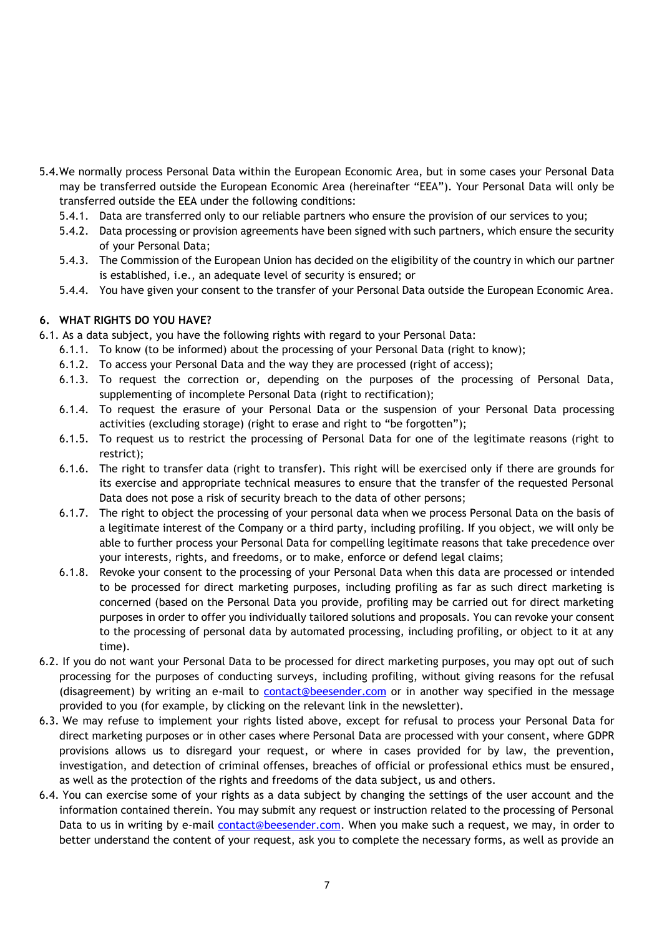- 5.4.We normally process Personal Data within the European Economic Area, but in some cases your Personal Data may be transferred outside the European Economic Area (hereinafter "EEA"). Your Personal Data will only be transferred outside the EEA under the following conditions:
	- 5.4.1. Data are transferred only to our reliable partners who ensure the provision of our services to you;
	- 5.4.2. Data processing or provision agreements have been signed with such partners, which ensure the security of your Personal Data;
	- 5.4.3. The Commission of the European Union has decided on the eligibility of the country in which our partner is established, i.e., an adequate level of security is ensured; or
	- 5.4.4. You have given your consent to the transfer of your Personal Data outside the European Economic Area.

## **6. WHAT RIGHTS DO YOU HAVE?**

- 6.1. As a data subject, you have the following rights with regard to your Personal Data:
	- 6.1.1. To know (to be informed) about the processing of your Personal Data (right to know);
	- 6.1.2. To access your Personal Data and the way they are processed (right of access);
	- 6.1.3. To request the correction or, depending on the purposes of the processing of Personal Data, supplementing of incomplete Personal Data (right to rectification);
	- 6.1.4. To request the erasure of your Personal Data or the suspension of your Personal Data processing activities (excluding storage) (right to erase and right to "be forgotten");
	- 6.1.5. To request us to restrict the processing of Personal Data for one of the legitimate reasons (right to restrict);
	- 6.1.6. The right to transfer data (right to transfer). This right will be exercised only if there are grounds for its exercise and appropriate technical measures to ensure that the transfer of the requested Personal Data does not pose a risk of security breach to the data of other persons;
	- 6.1.7. The right to object the processing of your personal data when we process Personal Data on the basis of a legitimate interest of the Company or a third party, including profiling. If you object, we will only be able to further process your Personal Data for compelling legitimate reasons that take precedence over your interests, rights, and freedoms, or to make, enforce or defend legal claims;
	- 6.1.8. Revoke your consent to the processing of your Personal Data when this data are processed or intended to be processed for direct marketing purposes, including profiling as far as such direct marketing is concerned (based on the Personal Data you provide, profiling may be carried out for direct marketing purposes in order to offer you individually tailored solutions and proposals. You can revoke your consent to the processing of personal data by automated processing, including profiling, or object to it at any time).
- 6.2. If you do not want your Personal Data to be processed for direct marketing purposes, you may opt out of such processing for the purposes of conducting surveys, including profiling, without giving reasons for the refusal (disagreement) by writing an e-mail to contact@beesender.com or in another way specified in the message provided to you (for example, by clicking on the relevant link in the newsletter).
- 6.3. We may refuse to implement your rights listed above, except for refusal to process your Personal Data for direct marketing purposes or in other cases where Personal Data are processed with your consent, where GDPR provisions allows us to disregard your request, or where in cases provided for by law, the prevention, investigation, and detection of criminal offenses, breaches of official or professional ethics must be ensured, as well as the protection of the rights and freedoms of the data subject, us and others.
- 6.4. You can exercise some of your rights as a data subject by changing the settings of the user account and the information contained therein. You may submit any request or instruction related to the processing of Personal Data to us in writing by e-mail contact@beesender.com. When you make such a request, we may, in order to better understand the content of your request, ask you to complete the necessary forms, as well as provide an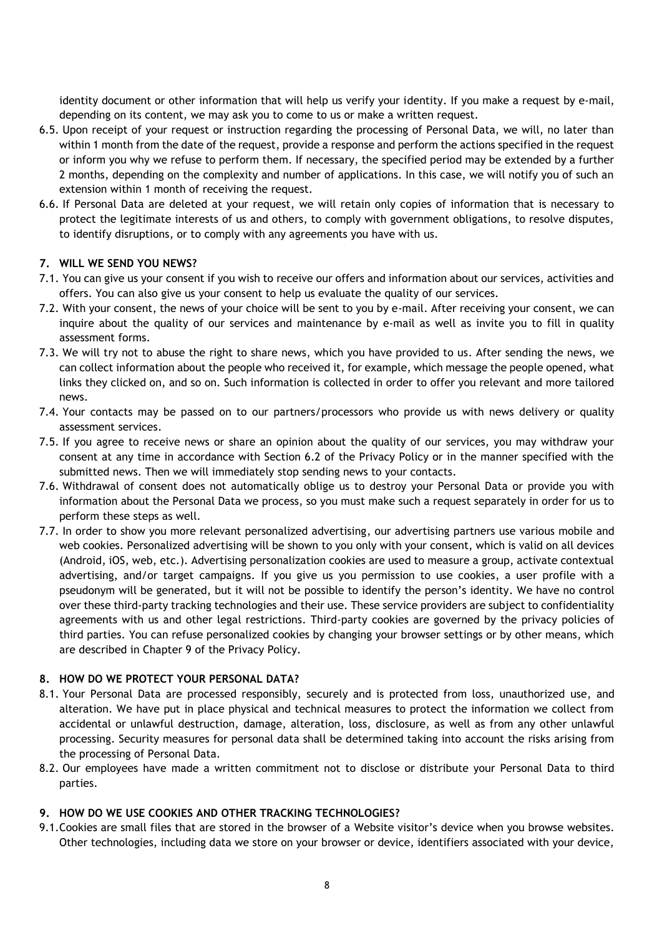identity document or other information that will help us verify your identity. If you make a request by e-mail, depending on its content, we may ask you to come to us or make a written request.

- 6.5. Upon receipt of your request or instruction regarding the processing of Personal Data, we will, no later than within 1 month from the date of the request, provide a response and perform the actions specified in the request or inform you why we refuse to perform them. If necessary, the specified period may be extended by a further 2 months, depending on the complexity and number of applications. In this case, we will notify you of such an extension within 1 month of receiving the request.
- 6.6. If Personal Data are deleted at your request, we will retain only copies of information that is necessary to protect the legitimate interests of us and others, to comply with government obligations, to resolve disputes, to identify disruptions, or to comply with any agreements you have with us.

## **7. WILL WE SEND YOU NEWS?**

- 7.1. You can give us your consent if you wish to receive our offers and information about our services, activities and offers. You can also give us your consent to help us evaluate the quality of our services.
- 7.2. With your consent, the news of your choice will be sent to you by e-mail. After receiving your consent, we can inquire about the quality of our services and maintenance by e-mail as well as invite you to fill in quality assessment forms.
- 7.3. We will try not to abuse the right to share news, which you have provided to us. After sending the news, we can collect information about the people who received it, for example, which message the people opened, what links they clicked on, and so on. Such information is collected in order to offer you relevant and more tailored news.
- 7.4. Your contacts may be passed on to our partners/processors who provide us with news delivery or quality assessment services.
- 7.5. If you agree to receive news or share an opinion about the quality of our services, you may withdraw your consent at any time in accordance with Section 6.2 of the Privacy Policy or in the manner specified with the submitted news. Then we will immediately stop sending news to your contacts.
- 7.6. Withdrawal of consent does not automatically oblige us to destroy your Personal Data or provide you with information about the Personal Data we process, so you must make such a request separately in order for us to perform these steps as well.
- 7.7. In order to show you more relevant personalized advertising, our advertising partners use various mobile and web cookies. Personalized advertising will be shown to you only with your consent, which is valid on all devices (Android, iOS, web, etc.). Advertising personalization cookies are used to measure a group, activate contextual advertising, and/or target campaigns. If you give us you permission to use cookies, a user profile with a pseudonym will be generated, but it will not be possible to identify the person's identity. We have no control over these third-party tracking technologies and their use. These service providers are subject to confidentiality agreements with us and other legal restrictions. Third-party cookies are governed by the privacy policies of third parties. You can refuse personalized cookies by changing your browser settings or by other means, which are described in Chapter 9 of the Privacy Policy.

#### **8. HOW DO WE PROTECT YOUR PERSONAL DATA?**

- 8.1. Your Personal Data are processed responsibly, securely and is protected from loss, unauthorized use, and alteration. We have put in place physical and technical measures to protect the information we collect from accidental or unlawful destruction, damage, alteration, loss, disclosure, as well as from any other unlawful processing. Security measures for personal data shall be determined taking into account the risks arising from the processing of Personal Data.
- 8.2. Our employees have made a written commitment not to disclose or distribute your Personal Data to third parties.

#### **9. HOW DO WE USE COOKIES AND OTHER TRACKING TECHNOLOGIES?**

9.1.Cookies are small files that are stored in the browser of a Website visitor's device when you browse websites. Other technologies, including data we store on your browser or device, identifiers associated with your device,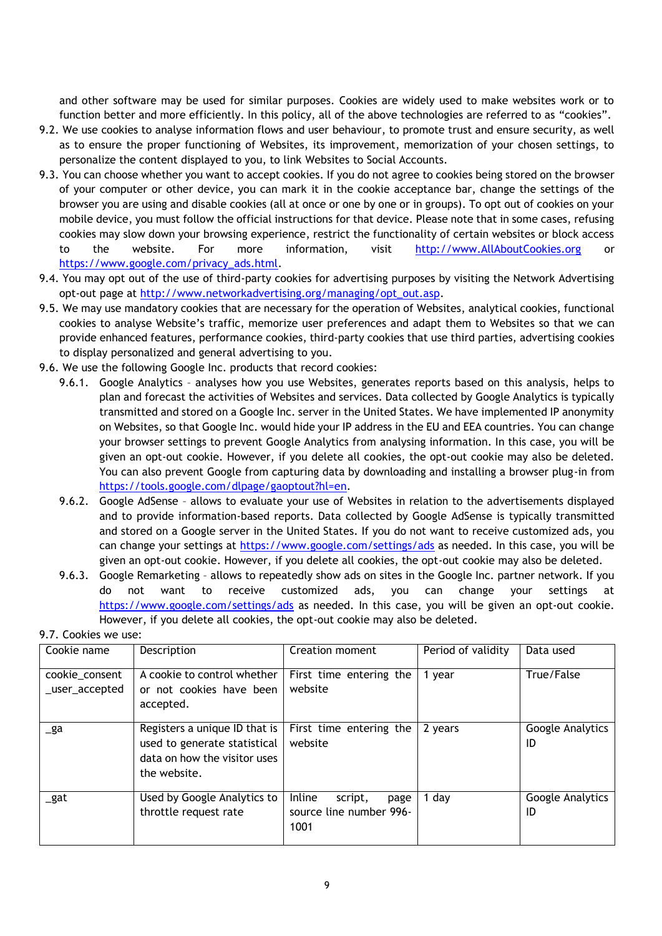and other software may be used for similar purposes. Cookies are widely used to make websites work or to function better and more efficiently. In this policy, all of the above technologies are referred to as "cookies".

- 9.2. We use cookies to analyse information flows and user behaviour, to promote trust and ensure security, as well as to ensure the proper functioning of Websites, its improvement, memorization of your chosen settings, to personalize the content displayed to you, to link Websites to Social Accounts.
- 9.3. You can choose whether you want to accept cookies. If you do not agree to cookies being stored on the browser of your computer or other device, you can mark it in the cookie acceptance bar, change the settings of the browser you are using and disable cookies (all at once or one by one or in groups). To opt out of cookies on your mobile device, you must follow the official instructions for that device. Please note that in some cases, refusing cookies may slow down your browsing experience, restrict the functionality of certain websites or block access to the website. For more information, visit [http://www.AllAboutCookies.org](http://www.allaboutcookies.org/) or [https://www.google.com/privacy\\_ads.html.](https://www.google.com/privacy_ads.html)
- 9.4. You may opt out of the use of third-party cookies for advertising purposes by visiting the Network Advertising opt-out page at [http://www.networkadvertising.org/managing/opt\\_out.asp.](http://www.networkadvertising.org/managing/opt_out.asp)
- 9.5. We may use mandatory cookies that are necessary for the operation of Websites, analytical cookies, functional cookies to analyse Website's traffic, memorize user preferences and adapt them to Websites so that we can provide enhanced features, performance cookies, third-party cookies that use third parties, advertising cookies to display personalized and general advertising to you.
- 9.6. We use the following Google Inc. products that record cookies:
	- 9.6.1. Google Analytics analyses how you use Websites, generates reports based on this analysis, helps to plan and forecast the activities of Websites and services. Data collected by Google Analytics is typically transmitted and stored on a Google Inc. server in the United States. We have implemented IP anonymity on Websites, so that Google Inc. would hide your IP address in the EU and EEA countries. You can change your browser settings to prevent Google Analytics from analysing information. In this case, you will be given an opt-out cookie. However, if you delete all cookies, the opt-out cookie may also be deleted. You can also prevent Google from capturing data by downloading and installing a browser plug-in from [https://tools.google.com/dlpage/gaoptout?hl=en.](https://tools.google.com/dlpage/gaoptout?hl=en)
	- 9.6.2. Google AdSense allows to evaluate your use of Websites in relation to the advertisements displayed and to provide information-based reports. Data collected by Google AdSense is typically transmitted and stored on a Google server in the United States. If you do not want to receive customized ads, you can change your settings at<https://www.google.com/settings/ads> as needed. In this case, you will be given an opt-out cookie. However, if you delete all cookies, the opt-out cookie may also be deleted.
	- 9.6.3. Google Remarketing allows to repeatedly show ads on sites in the Google Inc. partner network. If you do not want to receive customized ads, you can change your settings at <https://www.google.com/settings/ads> as needed. In this case, you will be given an opt-out cookie. However, if you delete all cookies, the opt-out cookie may also be deleted.

| Cookie name                      | Description                                                                                                   | Creation moment                                              | Period of validity | Data used              |
|----------------------------------|---------------------------------------------------------------------------------------------------------------|--------------------------------------------------------------|--------------------|------------------------|
| cookie_consent<br>_user_accepted | A cookie to control whether<br>or not cookies have been<br>accepted.                                          | First time entering the<br>website                           | 1 year             | True/False             |
| $\mathsf{g}$ a                   | Registers a unique ID that is<br>used to generate statistical<br>data on how the visitor uses<br>the website. | First time entering the<br>website                           | 2 years            | Google Analytics<br>ID |
| $\_$ gat                         | Used by Google Analytics to<br>throttle request rate                                                          | Inline<br>script,<br>page<br>source line number 996-<br>1001 | 1 day              | Google Analytics<br>ID |

#### 9.7. Cookies we use: